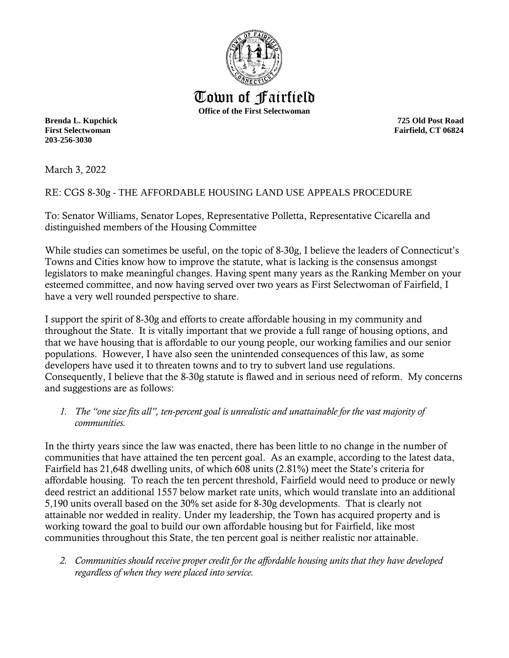

**First Selectwoman Fairfield, CT 06824 203-256-3030**

March 3, 2022

RE: CGS 8-30g - THE AFFORDABLE HOUSING LAND USE APPEALS PROCEDURE

To: Senator Williams, Senator Lopes, Representative Polletta, Representative Cicarella and distinguished members of the Housing Committee

While studies can sometimes be useful, on the topic of 8-30g, I believe the leaders of Connecticut's Towns and Cities know how to improve the statute, what is lacking is the consensus amongst legislators to make meaningful changes. Having spent many years as the Ranking Member on your esteemed committee, and now having served over two years as First Selectwoman of Fairfield, I have a very well rounded perspective to share.

I support the spirit of 8-30g and efforts to create affordable housing in my community and throughout the State. It is vitally important that we provide a full range of housing options, and that we have housing that is affordable to our young people, our working families and our senior populations. However, I have also seen the unintended consequences of this law, as some developers have used it to threaten towns and to try to subvert land use regulations. Consequently, I believe that the 8-30g statute is flawed and in serious need of reform. My concerns and suggestions are as follows:

*1. The "one size fits all", ten-percent goal is unrealistic and unattainable for the vast majority of communities.*

In the thirty years since the law was enacted, there has been little to no change in the number of communities that have attained the ten percent goal. As an example, according to the latest data, Fairfield has 21,648 dwelling units, of which 608 units (2.81%) meet the State's criteria for affordable housing. To reach the ten percent threshold, Fairfield would need to produce or newly deed restrict an additional 1557 below market rate units, which would translate into an additional 5,190 units overall based on the 30% set aside for 8-30g developments. That is clearly not attainable nor wedded in reality. Under my leadership, the Town has acquired property and is working toward the goal to build our own affordable housing but for Fairfield, like most communities throughout this State, the ten percent goal is neither realistic nor attainable.

*2. Communities should receive proper credit for the affordable housing units that they have developed regardless of when they were placed into service.*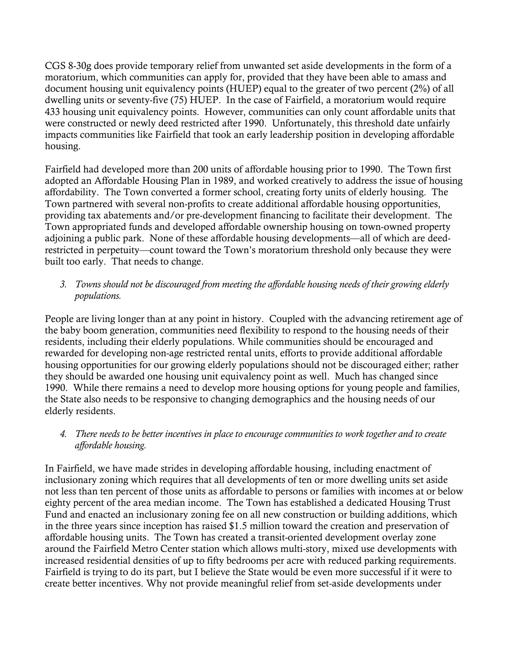CGS 8-30g does provide temporary relief from unwanted set aside developments in the form of a moratorium, which communities can apply for, provided that they have been able to amass and document housing unit equivalency points (HUEP) equal to the greater of two percent (2%) of all dwelling units or seventy-five (75) HUEP. In the case of Fairfield, a moratorium would require 433 housing unit equivalency points. However, communities can only count affordable units that were constructed or newly deed restricted after 1990. Unfortunately, this threshold date unfairly impacts communities like Fairfield that took an early leadership position in developing affordable housing.

Fairfield had developed more than 200 units of affordable housing prior to 1990. The Town first adopted an Affordable Housing Plan in 1989, and worked creatively to address the issue of housing affordability. The Town converted a former school, creating forty units of elderly housing. The Town partnered with several non-profits to create additional affordable housing opportunities, providing tax abatements and/or pre-development financing to facilitate their development. The Town appropriated funds and developed affordable ownership housing on town-owned property adjoining a public park. None of these affordable housing developments—all of which are deedrestricted in perpetuity—count toward the Town's moratorium threshold only because they were built too early. That needs to change.

## *3. Towns should not be discouraged from meeting the affordable housing needs of their growing elderly populations.*

People are living longer than at any point in history. Coupled with the advancing retirement age of the baby boom generation, communities need flexibility to respond to the housing needs of their residents, including their elderly populations. While communities should be encouraged and rewarded for developing non-age restricted rental units, efforts to provide additional affordable housing opportunities for our growing elderly populations should not be discouraged either; rather they should be awarded one housing unit equivalency point as well. Much has changed since 1990. While there remains a need to develop more housing options for young people and families, the State also needs to be responsive to changing demographics and the housing needs of our elderly residents.

## *4. There needs to be better incentives in place to encourage communities to work together and to create affordable housing.*

In Fairfield, we have made strides in developing affordable housing, including enactment of inclusionary zoning which requires that all developments of ten or more dwelling units set aside not less than ten percent of those units as affordable to persons or families with incomes at or below eighty percent of the area median income. The Town has established a dedicated Housing Trust Fund and enacted an inclusionary zoning fee on all new construction or building additions, which in the three years since inception has raised \$1.5 million toward the creation and preservation of affordable housing units. The Town has created a transit-oriented development overlay zone around the Fairfield Metro Center station which allows multi-story, mixed use developments with increased residential densities of up to fifty bedrooms per acre with reduced parking requirements. Fairfield is trying to do its part, but I believe the State would be even more successful if it were to create better incentives. Why not provide meaningful relief from set-aside developments under